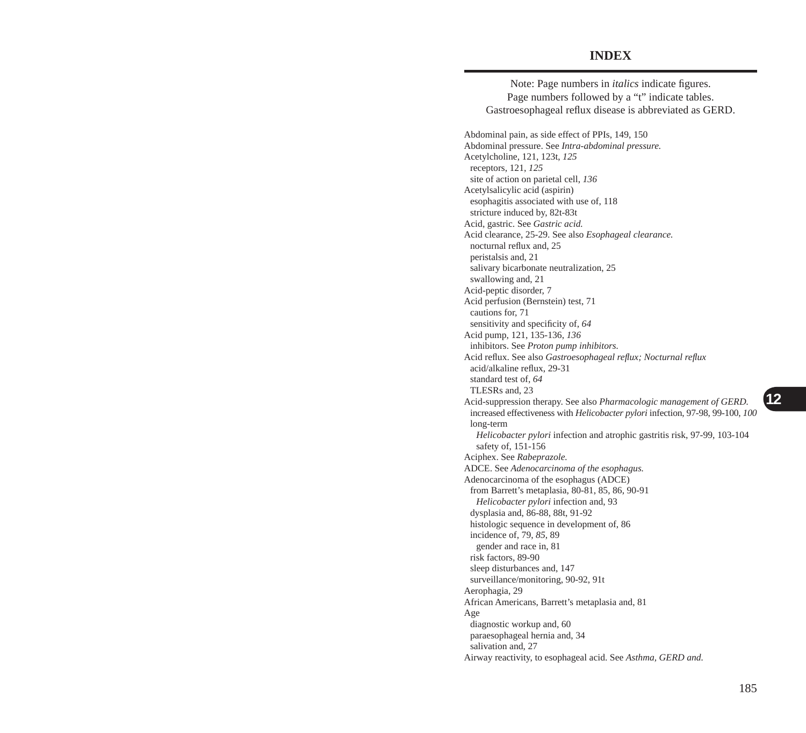Note: Page numbers in *italics* indicate figures. Page numbers followed by a "t" indicate tables. Gastroesophageal reflux disease is abbreviated as GERD.

Abdominal pain, as side effect of PPIs, 149, 150 Abdominal pressure. See *Intra-abdominal pressure.* Acetylcholine, 121, 123t, *125* receptors, 121, *125* site of action on parietal cell, *136* Acetylsalicylic acid (aspirin) esophagitis associated with use of, 118 stricture induced by, 82t-83t Acid, gastric. See *Gastric acid.* Acid clearance, 25-29. See also *Esophageal clearance.* nocturnal reflux and, 25 peristalsis and, 21 salivary bicarbonate neutralization, 25 swallowing and, 21 Acid-peptic disorder, 7 Acid perfusion (Bernstein) test, 71 cautions for, 71 sensitivity and specificity of, 64 Acid pump, 121, 135-136, *136* inhibitors. See *Proton pump inhibitors.* Acid reflux. See also *Gastroesophageal reflux; Nocturnal reflux* acid/alkaline reflux, 29-31 standard test of, *64* TLESRs and, 23 Acid-suppression therapy. See also *Pharmacologic management of GERD.* increased effectiveness with *Helicobacter pylori* infection, 97-98, 99-100, *100* long-term *Helicobacter pylori* infection and atrophic gastritis risk, 97-99, 103-104 safety of, 151-156 Aciphex. See *Rabeprazole.* ADCE. See *Adenocarcinoma of the esophagus.* Adenocarcinoma of the esophagus (ADCE) from Barrett's metaplasia, 80-81, 85, 86, 90-91 *Helicobacter pylori* infection and, 93 dysplasia and, 86-88, 88t, 91-92 histologic sequence in development of, 86 incidence of, 79, *85*, 89 gender and race in, 81 risk factors, 89-90 sleep disturbances and, 147 surveillance/monitoring, 90-92, 91t Aerophagia, 29 African Americans, Barrett's metaplasia and, 81 Age diagnostic workup and, 60 paraesophageal hernia and, 34 salivation and, 27 Airway reactivity, to esophageal acid. See *Asthma, GERD and.*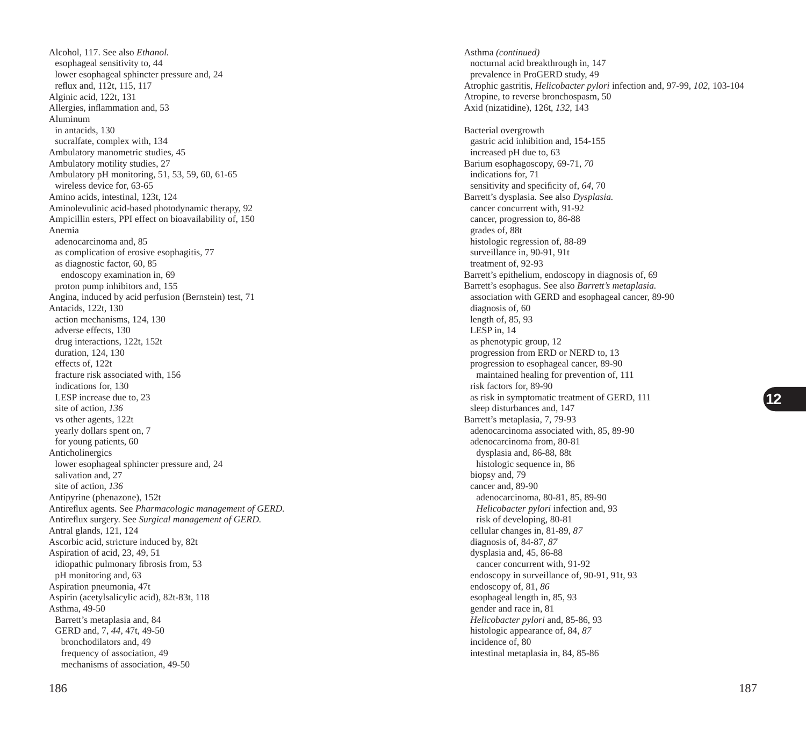Alcohol, 117. See also *Ethanol.* esophageal sensitivity to, 44 lower esophageal sphincter pressure and, 24 reflux and, 112t, 115, 117 Alginic acid, 122t, 131 Allergies, inflammation and, 53 Aluminum in antacids, 130 sucralfate, complex with, 134 Ambulatory manometric studies, 45 Ambulatory motility studies, 27 Ambulatory pH monitoring, 51, 53, 59, 60, 61-65 wireless device for, 63-65 Amino acids, intestinal, 123t, 124 Aminolevulinic acid-based photodynamic therapy, 92 Ampicillin esters, PPI effect on bioavailability of, 150 Anemia adenocarcinoma and, 85 as complication of erosive esophagitis, 77 as diagnostic factor, 60, 85 endoscopy examination in, 69 proton pump inhibitors and, 155 Angina, induced by acid perfusion (Bernstein) test, 71 Antacids, 122t, 130 action mechanisms, 124, 130 adverse effects, 130 drug interactions, 122t, 152t duration, 124, 130 effects of, 122t fracture risk associated with, 156 indications for, 130 LESP increase due to, 23 site of action, *136* vs other agents, 122t yearly dollars spent on, 7 for young patients, 60 Anticholinergics lower esophageal sphincter pressure and, 24 salivation and, 27 site of action, *136* Antipyrine (phenazone), 152t Antireflux agents. See *Pharmacologic management of GERD*. Antireflux surgery. See *Surgical management of GERD*. Antral glands, 121, 124 Ascorbic acid, stricture induced by, 82t Aspiration of acid, 23, 49, 51 idiopathic pulmonary fibrosis from, 53 pH monitoring and, 63 Aspiration pneumonia, 47t Aspirin (acetylsalicylic acid), 82t-83t, 118 Asthma, 49-50 Barrett's metaplasia and, 84 GERD and, 7, *44*, 47t, 49-50 bronchodilators and, 49 frequency of association, 49 mechanisms of association, 49-50

Asthma *(continued)* nocturnal acid breakthrough in, 147 prevalence in ProGERD study, 49 Atrophic gastritis, *Helicobacter pylori* infection and, 97-99, *102*, 103-104 Atropine, to reverse bronchospasm, 50 Axid (nizatidine), 126t, *132*, 143 Bacterial overgrowth gastric acid inhibition and, 154-155 increased pH due to, 63 Barium esophagoscopy, 69-71, *70* indications for, 71 sensitivity and specificity of, 64, 70 Barrett's dysplasia. See also *Dysplasia.* cancer concurrent with, 91-92 cancer, progression to, 86-88 grades of, 88t histologic regression of, 88-89 surveillance in, 90-91, 91t treatment of, 92-93 Barrett's epithelium, endoscopy in diagnosis of, 69 Barrett's esophagus. See also *Barrett's metaplasia.* association with GERD and esophageal cancer, 89-90 diagnosis of, 60 length of, 85, 93 LESP in, 14 as phenotypic group, 12 progression from ERD or NERD to, 13 progression to esophageal cancer, 89-90 maintained healing for prevention of, 111 risk factors for, 89-90 as risk in symptomatic treatment of GERD, 111 sleep disturbances and, 147 Barrett's metaplasia, 7, 79-93 adenocarcinoma associated with, 85, 89-90 adenocarcinoma from, 80-81 dysplasia and, 86-88, 88t histologic sequence in, 86 biopsy and, 79 cancer and, 89-90 adenocarcinoma, 80-81, 85, 89-90 *Helicobacter pylori* infection and, 93 risk of developing, 80-81 cellular changes in, 81-89, *87* diagnosis of, 84-87, *87* dysplasia and, 45, 86-88 cancer concurrent with, 91-92 endoscopy in surveillance of, 90-91, 91t, 93 endoscopy of, 81, *86* esophageal length in, 85, 93 gender and race in, 81 *Helicobacter pylori* and, 85-86, 93 histologic appearance of, 84, *87* incidence of, 80 intestinal metaplasia in, 84, 85-86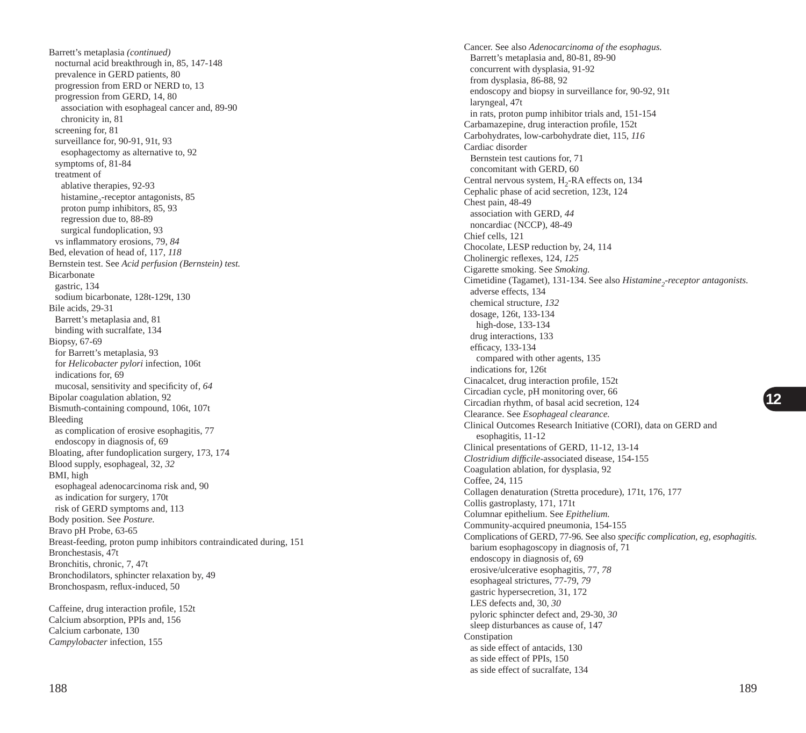Barrett's metaplasia *(continued)* nocturnal acid breakthrough in, 85, 147-148 prevalence in GERD patients, 80 progression from ERD or NERD to, 13 progression from GERD, 14, 80 association with esophageal cancer and, 89-90 chronicity in, 81 screening for, 81 surveillance for, 90-91, 91t, 93 esophagectomy as alternative to, 92 symptoms of, 81-84 treatment of ablative therapies, 92-93 histamine<sub>2</sub>-receptor antagonists, 85 proton pump inhibitors, 85, 93 regression due to, 88-89 surgical fundoplication, 93 vs inflammatory erosions, 79, 84 Bed, elevation of head of, 117, *118* Bernstein test. See *Acid perfusion (Bernstein) test.* Bicarbonate gastric, 134 sodium bicarbonate, 128t-129t, 130 Bile acids, 29-31 Barrett's metaplasia and, 81 binding with sucralfate, 134 Biopsy, 67-69 for Barrett's metaplasia, 93 for *Helicobacter pylori* infection, 106t indications for, 69 mucosal, sensitivity and specificity of,  $64$ Bipolar coagulation ablation, 92 Bismuth-containing compound, 106t, 107t Bleeding as complication of erosive esophagitis, 77 endoscopy in diagnosis of, 69 Bloating, after fundoplication surgery, 173, 174 Blood supply, esophageal, 32, *32* BMI, high esophageal adenocarcinoma risk and, 90 as indication for surgery, 170t risk of GERD symptoms and, 113 Body position. See *Posture.* Bravo pH Probe, 63-65 Breast-feeding, proton pump inhibitors contraindicated during, 151 Bronchestasis, 47t Bronchitis, chronic, 7, 47t Bronchodilators, sphincter relaxation by, 49 Bronchospasm, reflux-induced, 50

Caffeine, drug interaction profile, 152t Calcium absorption, PPIs and, 156 Calcium carbonate, 130 *Campylobacter* infection, 155

Cancer. See also *Adenocarcinoma of the esophagus.* Barrett's metaplasia and, 80-81, 89-90 concurrent with dysplasia, 91-92 from dysplasia, 86-88, 92 endoscopy and biopsy in surveillance for, 90-92, 91t laryngeal, 47t in rats, proton pump inhibitor trials and, 151-154 Carbamazepine, drug interaction profile, 152t Carbohydrates, low-carbohydrate diet, 115, *116* Cardiac disorder Bernstein test cautions for, 71 concomitant with GERD, 60 Central nervous system, H<sub>2</sub>-RA effects on, 134 Cephalic phase of acid secretion, 123t, 124 Chest pain, 48-49 association with GERD, *44* noncardiac (NCCP), 48-49 Chief cells, 121 Chocolate, LESP reduction by, 24, 114 Cholinergic reflexes, 124, 125 Cigarette smoking. See *Smoking.* Cimetidine (Tagamet), 131-134. See also *Histamine*<sub>2</sub>-receptor antagonists. adverse effects, 134 chemical structure, *132* dosage, 126t, 133-134 high-dose, 133-134 drug interactions, 133 efficacy, 133-134 compared with other agents, 135 indications for, 126t Cinacalcet, drug interaction profile, 152t Circadian cycle, pH monitoring over, 66 Circadian rhythm, of basal acid secretion, 124 Clearance. See *Esophageal clearance.* Clinical Outcomes Research Initiative (CORI), data on GERD and esophagitis, 11-12 Clinical presentations of GERD, 11-12, 13-14 *Clostridium diffi cile*-associated disease, 154-155 Coagulation ablation, for dysplasia, 92 Coffee, 24, 115 Collagen denaturation (Stretta procedure), 171t, 176, 177 Collis gastroplasty, 171, 171t Columnar epithelium. See *Epithelium.* Community-acquired pneumonia, 154-155 Complications of GERD, 77-96. See also *specifi c complication, eg, esophagitis.* barium esophagoscopy in diagnosis of, 71 endoscopy in diagnosis of, 69 erosive/ulcerative esophagitis, 77, *78* esophageal strictures, 77-79, *79* gastric hypersecretion, 31, 172 LES defects and, 30, *30* pyloric sphincter defect and, 29-30, *30* sleep disturbances as cause of, 147 Constipation as side effect of antacids, 130 as side effect of PPIs, 150 as side effect of sucralfate, 134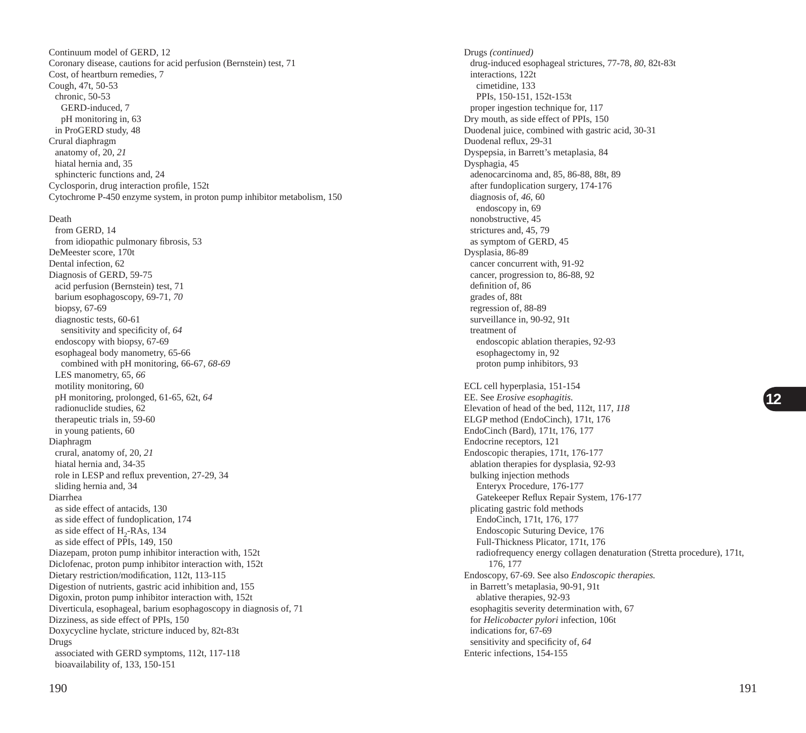Continuum model of GERD, 12 Coronary disease, cautions for acid perfusion (Bernstein) test, 71 Cost, of heartburn remedies, 7 Cough, 47t, 50-53 chronic, 50-53 GERD-induced, 7 pH monitoring in, 63 in ProGERD study, 48 Crural diaphragm anatomy of, 20, *21* hiatal hernia and, 35 sphincteric functions and, 24 Cyclosporin, drug interaction profile, 152t Cytochrome P-450 enzyme system, in proton pump inhibitor metabolism, 150

## Death

 from GERD, 14 from idiopathic pulmonary fibrosis, 53 DeMeester score, 170t Dental infection, 62 Diagnosis of GERD, 59-75 acid perfusion (Bernstein) test, 71 barium esophagoscopy, 69-71, *70* biopsy, 67-69 diagnostic tests, 60-61 sensitivity and specificity of, 64 endoscopy with biopsy, 67-69 esophageal body manometry, 65-66 combined with pH monitoring, 66-67, *68-69* LES manometry, 65, *66* motility monitoring, 60 pH monitoring, prolonged, 61-65, 62t, *64* radionuclide studies, 62 therapeutic trials in, 59-60 in young patients, 60 Diaphragm crural, anatomy of, 20, *21* hiatal hernia and, 34-35 role in LESP and reflux prevention, 27-29, 34 sliding hernia and, 34 Diarrhea as side effect of antacids, 130 as side effect of fundoplication, 174 as side effect of H<sub>2</sub>-RAs, 134 as side effect of PPIs, 149, 150 Diazepam, proton pump inhibitor interaction with, 152t Diclofenac, proton pump inhibitor interaction with, 152t Dietary restriction/modification, 112t, 113-115 Digestion of nutrients, gastric acid inhibition and, 155 Digoxin, proton pump inhibitor interaction with, 152t Diverticula, esophageal, barium esophagoscopy in diagnosis of, 71 Dizziness, as side effect of PPIs, 150 Doxycycline hyclate, stricture induced by, 82t-83t Drugs associated with GERD symptoms, 112t, 117-118 bioavailability of, 133, 150-151

Drugs *(continued)* drug-induced esophageal strictures, 77-78, *80*, 82t-83t interactions, 122t cimetidine, 133 PPIs, 150-151, 152t-153t proper ingestion technique for, 117 Dry mouth, as side effect of PPIs, 150 Duodenal juice, combined with gastric acid, 30-31 Duodenal reflux, 29-31 Dyspepsia, in Barrett's metaplasia, 84 Dysphagia, 45 adenocarcinoma and, 85, 86-88, 88t, 89 after fundoplication surgery, 174-176 diagnosis of, *46*, 60 endoscopy in, 69 nonobstructive, 45 strictures and, 45, 79 as symptom of GERD, 45 Dysplasia, 86-89 cancer concurrent with, 91-92 cancer, progression to, 86-88, 92 definition of, 86 grades of, 88t regression of, 88-89 surveillance in, 90-92, 91t treatment of endoscopic ablation therapies, 92-93 esophagectomy in, 92 proton pump inhibitors, 93 ECL cell hyperplasia, 151-154 EE. See *Erosive esophagitis.* Elevation of head of the bed, 112t, 117, *118* ELGP method (EndoCinch), 171t, 176 EndoCinch (Bard), 171t, 176, 177 Endocrine receptors, 121 Endoscopic therapies, 171t, 176-177 ablation therapies for dysplasia, 92-93 bulking injection methods Enteryx Procedure, 176-177 Gatekeeper Reflux Repair System, 176-177 plicating gastric fold methods EndoCinch, 171t, 176, 177 Endoscopic Suturing Device, 176 Full-Thickness Plicator, 171t, 176 radiofrequency energy collagen denaturation (Stretta procedure), 171t, 176, 177 Endoscopy, 67-69. See also *Endoscopic therapies.* in Barrett's metaplasia, 90-91, 91t ablative therapies, 92-93 esophagitis severity determination with, 67 for *Helicobacter pylori* infection, 106t indications for, 67-69 sensitivity and specificity of, 64 Enteric infections, 154-155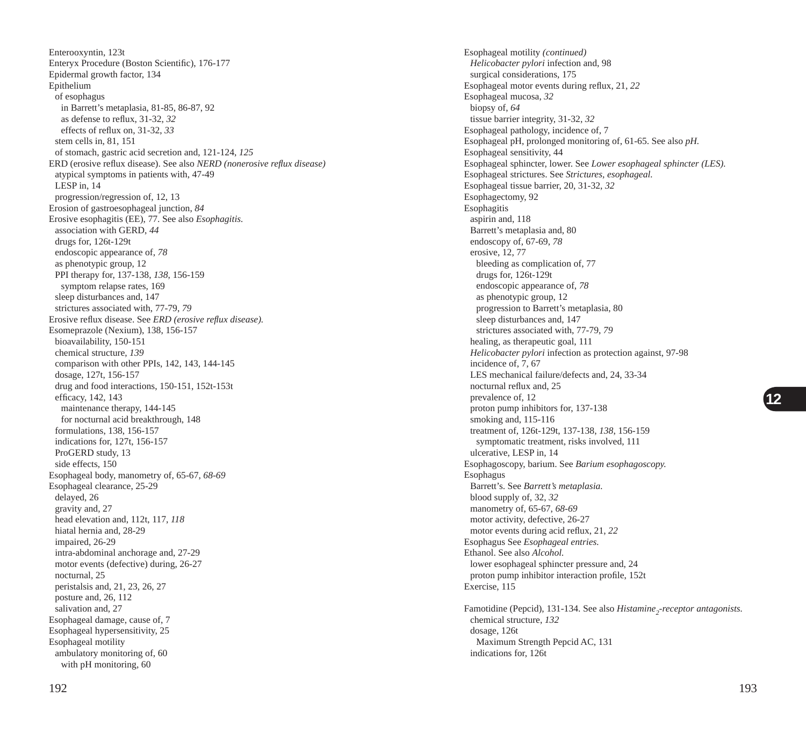Enterooxyntin, 123t Enteryx Procedure (Boston Scientific), 176-177 Epidermal growth factor, 134 Epithelium of esophagus in Barrett's metaplasia, 81-85, 86-87, 92 as defense to reflux, 31-32, 32 effects of reflux on, 31-32, 33 stem cells in, 81, 151 of stomach, gastric acid secretion and, 121-124, *125* ERD (erosive reflux disease). See also *NERD* (nonerosive reflux disease) atypical symptoms in patients with, 47-49 LESP in, 14 progression/regression of, 12, 13 Erosion of gastroesophageal junction, *84* Erosive esophagitis (EE), 77. See also *Esophagitis.* association with GERD, *44* drugs for, 126t-129t endoscopic appearance of, *78* as phenotypic group, 12 PPI therapy for, 137-138, *138*, 156-159 symptom relapse rates, 169 sleep disturbances and, 147 strictures associated with, 77-79, *79* Erosive reflux disease. See *ERD* (erosive reflux disease). Esomeprazole (Nexium), 138, 156-157 bioavailability, 150-151 chemical structure, *139* comparison with other PPIs, 142, 143, 144-145 dosage, 127t, 156-157 drug and food interactions, 150-151, 152t-153t efficacy, 142, 143 maintenance therapy, 144-145 for nocturnal acid breakthrough, 148 formulations, 138, 156-157 indications for, 127t, 156-157 ProGERD study, 13 side effects, 150 Esophageal body, manometry of, 65-67, *68-69* Esophageal clearance, 25-29 delayed, 26 gravity and, 27 head elevation and, 112t, 117, *118* hiatal hernia and, 28-29 impaired, 26-29 intra-abdominal anchorage and, 27-29 motor events (defective) during, 26-27 nocturnal, 25 peristalsis and, 21, 23, 26, 27 posture and, 26, 112 salivation and, 27 Esophageal damage, cause of, 7 Esophageal hypersensitivity, 25 Esophageal motility ambulatory monitoring of, 60 with pH monitoring, 60

Esophageal motility *(continued) Helicobacter pylori* infection and, 98 surgical considerations, 175 Esophageal motor events during reflux, 21, 22 Esophageal mucosa, *32* biopsy of, *64* tissue barrier integrity, 31-32, *32* Esophageal pathology, incidence of, 7 Esophageal pH, prolonged monitoring of, 61-65. See also *pH.* Esophageal sensitivity, 44 Esophageal sphincter, lower. See *Lower esophageal sphincter (LES).* Esophageal strictures. See *Strictures, esophageal.* Esophageal tissue barrier, 20, 31-32, *32* Esophagectomy, 92 Esophagitis aspirin and, 118 Barrett's metaplasia and, 80 endoscopy of, 67-69, *78* erosive, 12, 77 bleeding as complication of, 77 drugs for, 126t-129t endoscopic appearance of, *78* as phenotypic group, 12 progression to Barrett's metaplasia, 80 sleep disturbances and, 147 strictures associated with, 77-79, *79* healing, as therapeutic goal, 111 *Helicobacter pylori* infection as protection against, 97-98 incidence of, 7, 67 LES mechanical failure/defects and, 24, 33-34 nocturnal reflux and, 25 prevalence of, 12 proton pump inhibitors for, 137-138 smoking and, 115-116 treatment of, 126t-129t, 137-138, *138*, 156-159 symptomatic treatment, risks involved, 111 ulcerative, LESP in, 14 Esophagoscopy, barium. See *Barium esophagoscopy.* Esophagus Barrett's. See *Barrett's metaplasia.* blood supply of, 32, *32* manometry of, 65-67, *68-69* motor activity, defective, 26-27 motor events during acid reflux, 21, 22 Esophagus See *Esophageal entries.* Ethanol. See also *Alcohol.* lower esophageal sphincter pressure and, 24 proton pump inhibitor interaction profile, 152t Exercise, 115 Famotidine (Pepcid), 131-134. See also *Histamine*<sub>2</sub>-receptor antagonists. chemical structure, *132* dosage, 126t

Maximum Strength Pepcid AC, 131

indications for, 126t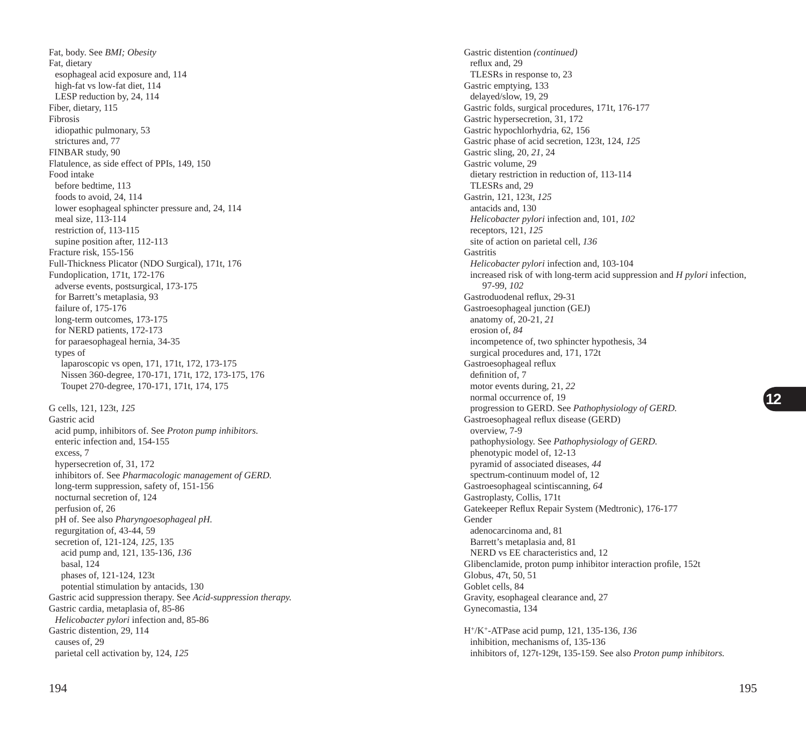Fat, body. See *BMI; Obesity* Fat, dietary esophageal acid exposure and, 114 high-fat vs low-fat diet, 114 LESP reduction by, 24, 114 Fiber, dietary, 115 Fibrosis idiopathic pulmonary, 53 strictures and, 77 FINBAR study, 90 Flatulence, as side effect of PPIs, 149, 150 Food intake before bedtime, 113 foods to avoid, 24, 114 lower esophageal sphincter pressure and, 24, 114 meal size, 113-114 restriction of, 113-115 supine position after, 112-113 Fracture risk, 155-156 Full-Thickness Plicator (NDO Surgical), 171t, 176 Fundoplication, 171t, 172-176 adverse events, postsurgical, 173-175 for Barrett's metaplasia, 93 failure of, 175-176 long-term outcomes, 173-175 for NERD patients, 172-173 for paraesophageal hernia, 34-35 types of laparoscopic vs open, 171, 171t, 172, 173-175 Nissen 360-degree, 170-171, 171t, 172, 173-175, 176 Toupet 270-degree, 170-171, 171t, 174, 175 G cells, 121, 123t, *125* Gastric acid acid pump, inhibitors of. See *Proton pump inhibitors.* enteric infection and, 154-155 excess, 7 hypersecretion of, 31, 172 inhibitors of. See *Pharmacologic management of GERD.* long-term suppression, safety of, 151-156 nocturnal secretion of, 124 perfusion of, 26 pH of. See also *Pharyngoesophageal pH.* regurgitation of, 43-44, 59 secretion of, 121-124, *125*, 135 acid pump and, 121, 135-136, *136* basal, 124 phases of, 121-124, 123t potential stimulation by antacids, 130 Gastric acid suppression therapy. See *Acid-suppression therapy.* Gastric cardia, metaplasia of, 85-86 *Helicobacter pylori* infection and, 85-86 Gastric distention, 29, 114 causes of, 29 parietal cell activation by, 124, *125*

Gastric folds, surgical procedures, 171t, 176-177 Gastric hypersecretion, 31, 172 Gastric hypochlorhydria, 62, 156 Gastric phase of acid secretion, 123t, 124, *125* Gastric sling, 20, *21*, 24 Gastric volume, 29 dietary restriction in reduction of, 113-114 TLESRs and, 29 Gastrin, 121, 123t, *125* antacids and, 130 *Helicobacter pylori* infection and, 101, *102* receptors, 121, *125* site of action on parietal cell, *136* Gastritis*Helicobacter pylori* infection and, 103-104 increased risk of with long-term acid suppression and *H pylori* infection, 97-99, *102* Gastroduodenal reflux, 29-31 Gastroesophageal junction (GEJ) anatomy of, 20-21, *21* erosion of, *84* incompetence of, two sphincter hypothesis, 34 surgical procedures and, 171, 172t Gastroesophageal reflux definition of, 7 motor events during, 21, *22* normal occurrence of, 19 progression to GERD. See *Pathophysiology of GERD.* Gastroesophageal reflux disease (GERD) overview, 7-9 pathophysiology. See *Pathophysiology of GERD.* phenotypic model of, 12-13 pyramid of associated diseases, *44* spectrum-continuum model of, 12 Gastroesophageal scintiscanning, *64* Gastroplasty, Collis, 171t Gatekeeper Reflux Repair System (Medtronic), 176-177 Gender adenocarcinoma and, 81 Barrett's metaplasia and, 81 NERD vs EE characteristics and, 12 Glibenclamide, proton pump inhibitor interaction profile, 152t Globus, 47t, 50, 51 Goblet cells, 84 Gravity, esophageal clearance and, 27 Gynecomastia, 134 H+/K+-ATPase acid pump, 121, 135-136, *136* inhibition, mechanisms of, 135-136 inhibitors of, 127t-129t, 135-159. See also *Proton pump inhibitors.*

Gastric distention *(continued)*

 TLESRs in response to, 23 Gastric emptying, 133 delayed/slow, 19, 29

reflux and, 29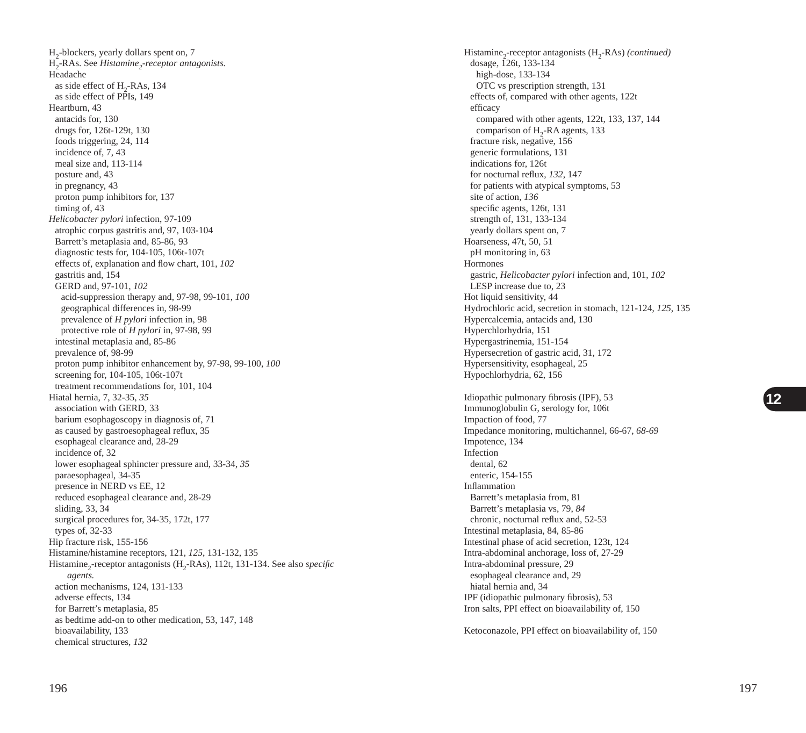H2-blockers, yearly dollars spent on, 7 H<sub>2</sub>-RAs. See *Histamine*<sub>2</sub>-receptor antagonists. Headacheas side effect of H<sub>2</sub>-RAs, 134 as side effect of PPIs, 149 Heartburn, 43 antacids for, 130 drugs for, 126t-129t, 130 foods triggering, 24, 114 incidence of, 7, 43 meal size and, 113-114 posture and, 43 in pregnancy, 43 proton pump inhibitors for, 137 timing of, 43 *Helicobacter pylori* infection, 97-109 atrophic corpus gastritis and, 97, 103-104 Barrett's metaplasia and, 85-86, 93 diagnostic tests for, 104-105, 106t-107t effects of, explanation and flow chart, 101,  $102$  gastritis and, 154 GERD and, 97-101, *102* acid-suppression therapy and, 97-98, 99-101, *100* geographical differences in, 98-99 prevalence of *H pylori* infection in, 98 protective role of *H pylori* in, 97-98, 99 intestinal metaplasia and, 85-86 prevalence of, 98-99 proton pump inhibitor enhancement by, 97-98, 99-100, *100* screening for, 104-105, 106t-107t treatment recommendations for, 101, 104 Hiatal hernia, 7, 32-35, *35* association with GERD, 33 barium esophagoscopy in diagnosis of, 71 as caused by gastroesophageal reflux, 35 esophageal clearance and, 28-29 incidence of, 32 lower esophageal sphincter pressure and, 33-34, *35* paraesophageal, 34-35 presence in NERD vs EE, 12 reduced esophageal clearance and, 28-29 sliding, 33, 34 surgical procedures for, 34-35, 172t, 177 types of, 32-33 Hip fracture risk, 155-156 Histamine/histamine receptors, 121, *125*, 131-132, 135 Histamine<sub>2</sub>-receptor antagonists (H<sub>2</sub>-RAs), 112t, 131-134. See also *specific agents.* action mechanisms, 124, 131-133 adverse effects, 134 for Barrett's metaplasia, 85 as bedtime add-on to other medication, 53, 147, 148 bioavailability, 133 chemical structures, *132*

Histamine<sub>2</sub>-receptor antagonists (H<sub>2</sub>-RAs) *(continued)*  dosage, 126t, 133-134 high-dose, 133-134 OTC vs prescription strength, 131 effects of, compared with other agents, 122t efficacy compared with other agents, 122t, 133, 137, 144 comparison of  $H_2$ -RA agents, 133 fracture risk, negative, 156 generic formulations, 131 indications for, 126t for nocturnal reflux, 132, 147 for patients with atypical symptoms, 53 site of action, *136* specific agents, 126t, 131 strength of, 131, 133-134 yearly dollars spent on, 7 Hoarseness, 47t, 50, 51 pH monitoring in, 63 Hormones gastric, *Helicobacter pylori* infection and, 101, *102* LESP increase due to, 23 Hot liquid sensitivity, 44 Hydrochloric acid, secretion in stomach, 121-124, *125*, 135 Hypercalcemia, antacids and, 130 Hyperchlorhydria, 151 Hypergastrinemia, 151-154 Hypersecretion of gastric acid, 31, 172 Hypersensitivity, esophageal, 25 Hypochlorhydria, 62, 156 Idiopathic pulmonary fibrosis (IPF), 53 Immunoglobulin G, serology for, 106t Impaction of food, 77 Impedance monitoring, multichannel, 66-67, *68-69* Impotence, 134 Infection dental, 62 enteric, 154-155 Inflammation Barrett's metaplasia from, 81 Barrett's metaplasia vs, 79, *84* chronic, nocturnal reflux and, 52-53 Intestinal metaplasia, 84, 85-86 Intestinal phase of acid secretion, 123t, 124 Intra-abdominal anchorage, loss of, 27-29 Intra-abdominal pressure, 29 esophageal clearance and, 29 hiatal hernia and, 34 IPF (idiopathic pulmonary fibrosis), 53

Ketoconazole, PPI effect on bioavailability of, 150

Iron salts, PPI effect on bioavailability of, 150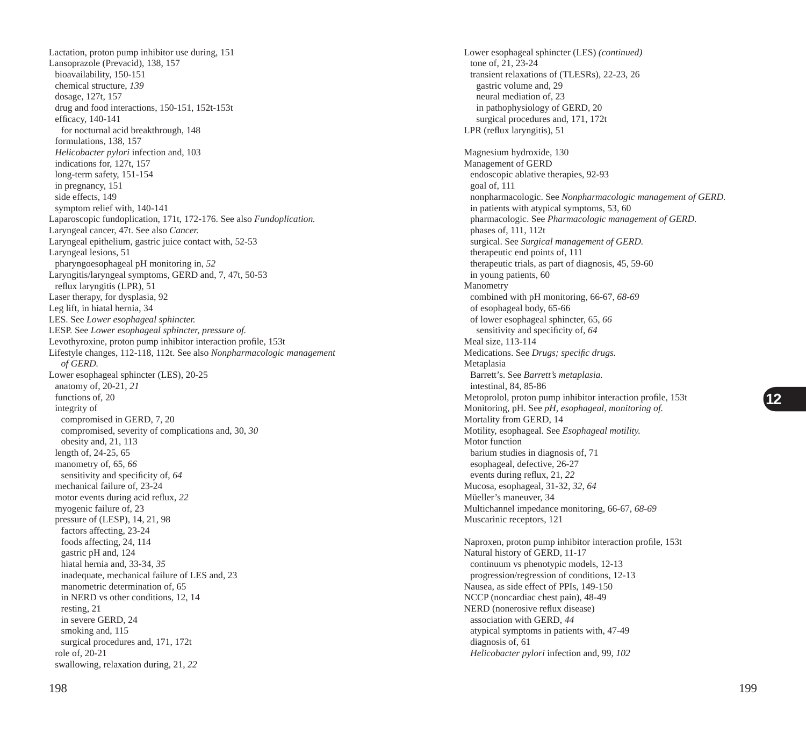Lactation, proton pump inhibitor use during, 151 Lansoprazole (Prevacid), 138, 157 bioavailability, 150-151 chemical structure, *139* dosage, 127t, 157 drug and food interactions, 150-151, 152t-153t efficacy, 140-141 for nocturnal acid breakthrough, 148 formulations, 138, 157 *Helicobacter pylori* infection and, 103 indications for, 127t, 157 long-term safety, 151-154 in pregnancy, 151 side effects, 149 symptom relief with, 140-141 Laparoscopic fundoplication, 171t, 172-176. See also *Fundoplication.* Laryngeal cancer, 47t. See also *Cancer.* Laryngeal epithelium, gastric juice contact with, 52-53 Laryngeal lesions, 51 pharyngoesophageal pH monitoring in, *52* Laryngitis/laryngeal symptoms, GERD and, 7, 47t, 50-53 reflux laryngitis (LPR), 51 Laser therapy, for dysplasia, 92 Leg lift, in hiatal hernia, 34 LES. See *Lower esophageal sphincter.* LESP. See *Lower esophageal sphincter, pressure of.* Levothyroxine, proton pump inhibitor interaction profile, 153t Lifestyle changes, 112-118, 112t. See also *Nonpharmacologic management of GERD.* Lower esophageal sphincter (LES), 20-25 anatomy of, 20-21, *21* functions of, 20 integrity of compromised in GERD, 7, 20 compromised, severity of complications and, 30, *30* obesity and, 21, 113 length of, 24-25, 65 manometry of, 65, *66* sensitivity and specificity of,  $64$  mechanical failure of, 23-24 motor events during acid reflux, 22 myogenic failure of, 23 pressure of (LESP), 14, 21, 98 factors affecting, 23-24 foods affecting, 24, 114 gastric pH and, 124 hiatal hernia and, 33-34, *35* inadequate, mechanical failure of LES and, 23 manometric determination of, 65 in NERD vs other conditions, 12, 14 resting, 21 in severe GERD, 24 smoking and, 115 surgical procedures and, 171, 172t role of, 20-21 swallowing, relaxation during, 21, *22*

Lower esophageal sphincter (LES) *(continued)* tone of, 21, 23-24 transient relaxations of (TLESRs), 22-23, 26 gastric volume and, 29 neural mediation of, 23 in pathophysiology of GERD, 20 surgical procedures and, 171, 172t LPR (reflux laryngitis), 51 Magnesium hydroxide, 130 Management of GERD endoscopic ablative therapies, 92-93 goal of, 111 nonpharmacologic. See *Nonpharmacologic management of GERD.* in patients with atypical symptoms, 53, 60 pharmacologic. See *Pharmacologic management of GERD.* phases of, 111, 112t surgical. See *Surgical management of GERD.* therapeutic end points of, 111 therapeutic trials, as part of diagnosis, 45, 59-60 in young patients, 60 Manometry combined with pH monitoring, 66-67, *68-69* of esophageal body, 65-66 of lower esophageal sphincter, 65, *66* sensitivity and specificity of, 64 Meal size, 113-114 Medications. See *Drugs; specifi c drugs.* Metaplasia Barrett's. See *Barrett's metaplasia.* intestinal, 84, 85-86 Metoprolol, proton pump inhibitor interaction profile, 153t Monitoring, pH. See *pH, esophageal, monitoring of.* Mortality from GERD, 14 Motility, esophageal. See *Esophageal motility.* Motor function barium studies in diagnosis of, 71 esophageal, defective, 26-27 events during reflux, 21, 22 Mucosa, esophageal, 31-32, *32*, *64* Müeller's maneuver, 34 Multichannel impedance monitoring, 66-67, *68-69* Muscarinic receptors, 121 Naproxen, proton pump inhibitor interaction profile, 153t Natural history of GERD, 11-17 continuum vs phenotypic models, 12-13 progression/regression of conditions, 12-13 Nausea, as side effect of PPIs, 149-150 NCCP (noncardiac chest pain), 48-49 NERD (nonerosive reflux disease) association with GERD, *44* atypical symptoms in patients with, 47-49 diagnosis of, 61 *Helicobacter pylori* infection and, 99, *102*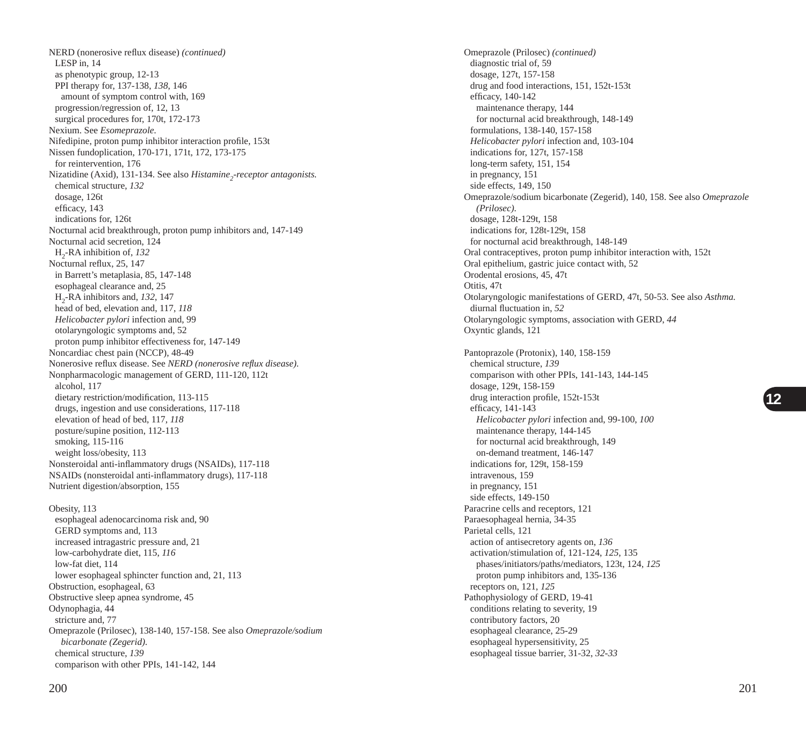NERD (nonerosive reflux disease) *(continued)*  LESP in, 14 as phenotypic group, 12-13 PPI therapy for, 137-138, *138*, 146 amount of symptom control with, 169 progression/regression of, 12, 13 surgical procedures for, 170t, 172-173 Nexium. See *Esomeprazole.* Nifedipine, proton pump inhibitor interaction profile, 153t Nissen fundoplication, 170-171, 171t, 172, 173-175 for reintervention, 176 Nizatidine (Axid), 131-134. See also *Histamine<sub>2</sub>-receptor antagonists*. chemical structure, *132* dosage, 126t efficacy, 143 indications for, 126t Nocturnal acid breakthrough, proton pump inhibitors and, 147-149 Nocturnal acid secretion, 124 H2-RA inhibition of, *<sup>132</sup>* Nocturnal reflux, 25, 147 in Barrett's metaplasia, 85, 147-148 esophageal clearance and, 25 H2-RA inhibitors and, *<sup>132</sup>*, <sup>147</sup> head of bed, elevation and, 117, *118 Helicobacter pylori* infection and, 99 otolaryngologic symptoms and, 52 proton pump inhibitor effectiveness for, 147-149 Noncardiac chest pain (NCCP), 48-49 Nonerosive reflux disease. See *NERD* (nonerosive reflux disease). Nonpharmacologic management of GERD, 111-120, 112t alcohol, 117 dietary restriction/modification, 113-115 drugs, ingestion and use considerations, 117-118 elevation of head of bed, 117, *118* posture/supine position, 112-113 smoking, 115-116 weight loss/obesity, 113 Nonsteroidal anti-inflammatory drugs (NSAIDs), 117-118 NSAIDs (nonsteroidal anti-inflammatory drugs), 117-118 Nutrient digestion/absorption, 155 Obesity, 113 esophageal adenocarcinoma risk and, 90

 GERD symptoms and, 113 increased intragastric pressure and, 21 low-carbohydrate diet, 115, *116* low-fat diet, 114 lower esophageal sphincter function and, 21, 113 Obstruction, esophageal, 63 Obstructive sleep apnea syndrome, 45 Odynophagia, 44 stricture and, 77 Omeprazole (Prilosec), 138-140, 157-158. See also *Omeprazole/sodium bicarbonate (Zegerid).* chemical structure, *139* comparison with other PPIs, 141-142, 144

Omeprazole (Prilosec) *(continued)* diagnostic trial of, 59 dosage, 127t, 157-158 drug and food interactions, 151, 152t-153t efficacy, 140-142 maintenance therapy, 144 for nocturnal acid breakthrough, 148-149 formulations, 138-140, 157-158 *Helicobacter pylori* infection and, 103-104 indications for, 127t, 157-158 long-term safety, 151, 154 in pregnancy, 151 side effects, 149, 150 Omeprazole/sodium bicarbonate (Zegerid), 140, 158. See also *Omeprazole (Prilosec).* dosage, 128t-129t, 158 indications for, 128t-129t, 158 for nocturnal acid breakthrough, 148-149 Oral contraceptives, proton pump inhibitor interaction with, 152t Oral epithelium, gastric juice contact with, 52 Orodental erosions, 45, 47t Otitis, 47t Otolaryngologic manifestations of GERD, 47t, 50-53. See also *Asthma.* diurnal fluctuation in, 52 Otolaryngologic symptoms, association with GERD, *44* Oxyntic glands, 121 Pantoprazole (Protonix), 140, 158-159 chemical structure, *139* comparison with other PPIs, 141-143, 144-145 dosage, 129t, 158-159 drug interaction profile, 152t-153t efficacy, 141-143 *Helicobacter pylori* infection and, 99-100, *100* maintenance therapy, 144-145 for nocturnal acid breakthrough, 149 on-demand treatment, 146-147 indications for, 129t, 158-159 intravenous, 159 in pregnancy, 151 side effects, 149-150 Paracrine cells and receptors, 121 Paraesophageal hernia, 34-35 Parietal cells, 121 action of antisecretory agents on, *136* activation/stimulation of, 121-124, *125*, 135 phases/initiators/paths/mediators, 123t, 124, *125* proton pump inhibitors and, 135-136 receptors on, 121, *125* Pathophysiology of GERD, 19-41 conditions relating to severity, 19 contributory factors, 20 esophageal clearance, 25-29 esophageal hypersensitivity, 25 esophageal tissue barrier, 31-32, *32-33*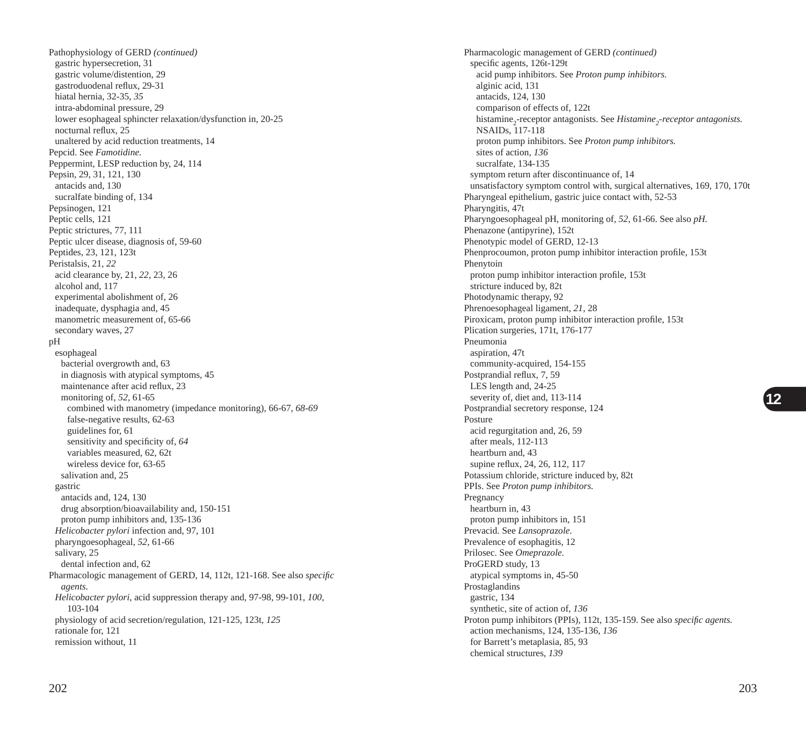Pathophysiology of GERD *(continued)* gastric hypersecretion, 31 gastric volume/distention, 29 gastroduodenal reflux, 29-31 hiatal hernia, 32-35, *35* intra-abdominal pressure, 29 lower esophageal sphincter relaxation/dysfunction in, 20-25 nocturnal reflux, 25 unaltered by acid reduction treatments, 14 Pepcid. See *Famotidine.* Peppermint, LESP reduction by, 24, 114 Pepsin, 29, 31, 121, 130 antacids and, 130 sucralfate binding of, 134 Pepsinogen, 121 Peptic cells, 121 Peptic strictures, 77, 111 Peptic ulcer disease, diagnosis of, 59-60 Peptides, 23, 121, 123t Peristalsis, 21, *22* acid clearance by, 21, *22*, 23, 26 alcohol and, 117 experimental abolishment of, 26 inadequate, dysphagia and, 45 manometric measurement of, 65-66 secondary waves, 27 pH esophageal bacterial overgrowth and, 63 in diagnosis with atypical symptoms, 45 maintenance after acid reflux, 23 monitoring of, *52*, 61-65 combined with manometry (impedance monitoring), 66-67, *68-69* false-negative results, 62-63 guidelines for, 61 sensitivity and specificity of,  $64$  variables measured, 62, 62t wireless device for, 63-65 salivation and, 25 gastric antacids and, 124, 130 drug absorption/bioavailability and, 150-151 proton pump inhibitors and, 135-136 *Helicobacter pylori* infection and, 97, 101 pharyngoesophageal, *52*, 61-66 salivary, 25 dental infection and, 62 Pharmacologic management of GERD, 14, 112t, 121-168. See also *specifi<sup>c</sup> agents. Helicobacter pylori*, acid suppression therapy and, 97-98, 99-101, *100*, 103-104 physiology of acid secretion/regulation, 121-125, 123t, *125* rationale for, 121 remission without, 11

Pharmacologic management of GERD *(continued)* specific agents, 126t-129t acid pump inhibitors. See *Proton pump inhibitors.* alginic acid, 131 antacids, 124, 130 comparison of effects of, 122t histamine<sub>2</sub>-receptor antagonists. See *Histamine<sub>2</sub>-receptor antagonists*. NSAIDs, 117-118 proton pump inhibitors. See *Proton pump inhibitors.* sites of action, *136* sucralfate, 134-135 symptom return after discontinuance of, 14 unsatisfactory symptom control with, surgical alternatives, 169, 170, 170t Pharyngeal epithelium, gastric juice contact with, 52-53 Pharyngitis, 47t Pharyngoesophageal pH, monitoring of, *52*, 61-66. See also *pH.* Phenazone (antipyrine), 152t Phenotypic model of GERD, 12-13 Phenprocoumon, proton pump inhibitor interaction profile, 153t Phenytoin proton pump inhibitor interaction profile, 153t stricture induced by, 82t Photodynamic therapy, 92 Phrenoesophageal ligament, *21*, 28 Piroxicam, proton pump inhibitor interaction profile, 153t Plication surgeries, 171t, 176-177 Pneumonia aspiration, 47t community-acquired, 154-155 Postprandial reflux, 7, 59 LES length and, 24-25 severity of, diet and, 113-114 Postprandial secretory response, 124 Posture acid regurgitation and, 26, 59 after meals, 112-113 heartburn and, 43 supine reflux, 24, 26, 112, 117 Potassium chloride, stricture induced by, 82t PPIs. See *Proton pump inhibitors.* Pregnancy heartburn in, 43 proton pump inhibitors in, 151 Prevacid. See *Lansoprazole.* Prevalence of esophagitis, 12 Prilosec. See *Omeprazole.* ProGERD study, 13 atypical symptoms in, 45-50 Prostaglandins gastric, 134 synthetic, site of action of, *136* Proton pump inhibitors (PPIs), 112t, 135-159. See also *specific agents*. action mechanisms, 124, 135-136, *136* for Barrett's metaplasia, 85, 93 chemical structures, *139*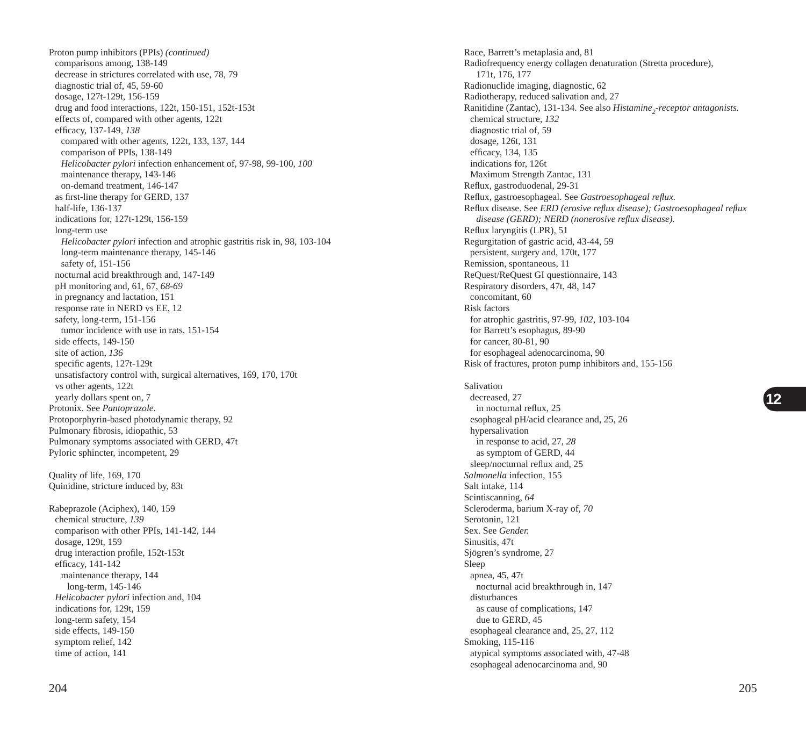Proton pump inhibitors (PPIs) *(continued)* comparisons among, 138-149 decrease in strictures correlated with use, 78, 79 diagnostic trial of, 45, 59-60 dosage, 127t-129t, 156-159 drug and food interactions, 122t, 150-151, 152t-153t effects of, compared with other agents, 122t effi cacy, 137-149, *138* compared with other agents, 122t, 133, 137, 144 comparison of PPIs, 138-149 *Helicobacter pylori* infection enhancement of, 97-98, 99-100, *100* maintenance therapy, 143-146 on-demand treatment, 146-147 as first-line therapy for GERD, 137 half-life, 136-137 indications for, 127t-129t, 156-159 long-term use *Helicobacter pylori* infection and atrophic gastritis risk in, 98, 103-104 long-term maintenance therapy, 145-146 safety of, 151-156 nocturnal acid breakthrough and, 147-149 pH monitoring and, 61, 67, *68-69* in pregnancy and lactation, 151 response rate in NERD vs EE, 12 safety, long-term, 151-156 tumor incidence with use in rats, 151-154 side effects, 149-150 site of action, *136* specific agents, 127t-129t unsatisfactory control with, surgical alternatives, 169, 170, 170t vs other agents, 122t yearly dollars spent on, 7 Protonix. See *Pantoprazole.* Protoporphyrin-based photodynamic therapy, 92 Pulmonary fibrosis, idiopathic, 53 Pulmonary symptoms associated with GERD, 47t Pyloric sphincter, incompetent, 29 Quality of life, 169, 170 Quinidine, stricture induced by, 83t

Rabeprazole (Aciphex), 140, 159 chemical structure, *139* comparison with other PPIs, 141-142, 144 dosage, 129t, 159 drug interaction profile, 152t-153t efficacy, 141-142 maintenance therapy, 144 long-term, 145-146 *Helicobacter pylori* infection and, 104 indications for, 129t, 159 long-term safety, 154 side effects, 149-150 symptom relief, 142 time of action, 141

Race, Barrett's metaplasia and, 81 Radiofrequency energy collagen denaturation (Stretta procedure), 171t, 176, 177 Radionuclide imaging, diagnostic, 62 Radiotherapy, reduced salivation and, 27 Ranitidine (Zantac), 131-134. See also *Histamine<sub>2</sub>-receptor antagonists*. chemical structure, *132* diagnostic trial of, 59 dosage, 126t, 131 efficacy, 134, 135 indications for, 126t Maximum Strength Zantac, 131 Reflux, gastroduodenal, 29-31 Reflux, gastroesophageal. See *Gastroesophageal reflux*. Reflux disease. See *ERD* (erosive reflux disease); Gastroesophageal reflux *disease* (*GERD*); *NERD* (*nonerosive reflux disease*). Reflux laryngitis (LPR), 51 Regurgitation of gastric acid, 43-44, 59 persistent, surgery and, 170t, 177 Remission, spontaneous, 11 ReQuest/ReQuest GI questionnaire, 143 Respiratory disorders, 47t, 48, 147 concomitant, 60 Risk factors for atrophic gastritis, 97-99, *102*, 103-104 for Barrett's esophagus, 89-90 for cancer, 80-81, 90 for esophageal adenocarcinoma, 90 Risk of fractures, proton pump inhibitors and, 155-156

## Salivation

 decreased, 27 in nocturnal reflux, 25 esophageal pH/acid clearance and, 25, 26 hypersalivation in response to acid, 27, *28* as symptom of GERD, 44 sleep/nocturnal reflux and, 25 *Salmonella* infection, 155 Salt intake, 114 Scintiscanning, *64* Scleroderma, barium X-ray of, *70* Serotonin, 121 Sex. See *Gender.*Sinusitis, 47t Sjögren's syndrome, 27 Sleep apnea, 45, 47t nocturnal acid breakthrough in, 147 disturbances as cause of complications, 147 due to GERD, 45 esophageal clearance and, 25, 27, 112 Smoking, 115-116 atypical symptoms associated with, 47-48 esophageal adenocarcinoma and, 90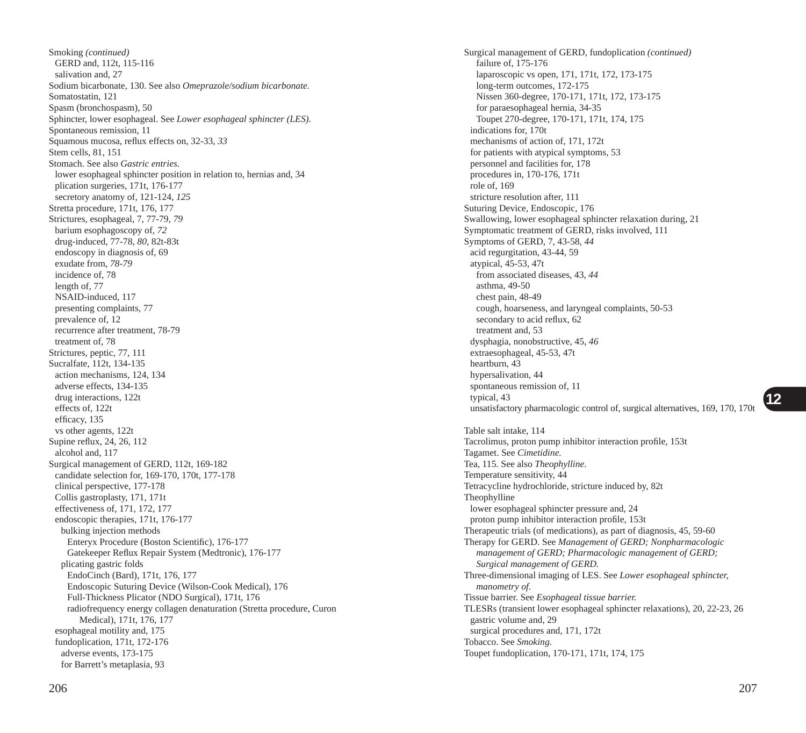Smoking *(continued)* GERD and, 112t, 115-116 salivation and, 27 Sodium bicarbonate, 130. See also *Omeprazole/sodium bicarbonate.* Somatostatin, 121 Spasm (bronchospasm), 50 Sphincter, lower esophageal. See *Lower esophageal sphincter (LES).* Spontaneous remission, 11 Squamous mucosa, reflux effects on, 32-33, 33 Stem cells, 81, 151 Stomach. See also *Gastric entries.* lower esophageal sphincter position in relation to, hernias and, 34 plication surgeries, 171t, 176-177 secretory anatomy of, 121-124, *125* Stretta procedure, 171t, 176, 177 Strictures, esophageal, 7, 77-79, *79* barium esophagoscopy of, *72* drug-induced, 77-78, *80*, 82t-83t endoscopy in diagnosis of, 69 exudate from, *78-79* incidence of, 78 length of, 77 NSAID-induced, 117 presenting complaints, 77 prevalence of, 12 recurrence after treatment, 78-79 treatment of, 78 Strictures, peptic, 77, 111 Sucralfate, 112t, 134-135 action mechanisms, 124, 134 adverse effects, 134-135 drug interactions, 122t effects of, 122t efficacy, 135 vs other agents, 122t Supine reflux, 24, 26, 112 alcohol and, 117 Surgical management of GERD, 112t, 169-182 candidate selection for, 169-170, 170t, 177-178 clinical perspective, 177-178 Collis gastroplasty, 171, 171t effectiveness of, 171, 172, 177 endoscopic therapies, 171t, 176-177 bulking injection methods Enteryx Procedure (Boston Scientific), 176-177 Gatekeeper Reflux Repair System (Medtronic), 176-177 plicating gastric folds EndoCinch (Bard), 171t, 176, 177 Endoscopic Suturing Device (Wilson-Cook Medical), 176 Full-Thickness Plicator (NDO Surgical), 171t, 176 radiofrequency energy collagen denaturation (Stretta procedure, Curon Medical), 171t, 176, 177 esophageal motility and, 175 fundoplication, 171t, 172-176 adverse events, 173-175 for Barrett's metaplasia, 93

Surgical management of GERD, fundoplication *(continued)* failure of, 175-176 laparoscopic vs open, 171, 171t, 172, 173-175 long-term outcomes, 172-175 Nissen 360-degree, 170-171, 171t, 172, 173-175 for paraesophageal hernia, 34-35 Toupet 270-degree, 170-171, 171t, 174, 175 indications for, 170t mechanisms of action of, 171, 172t for patients with atypical symptoms, 53 personnel and facilities for, 178 procedures in, 170-176, 171t role of, 169 stricture resolution after, 111 Suturing Device, Endoscopic, 176 Swallowing, lower esophageal sphincter relaxation during, 21 Symptomatic treatment of GERD, risks involved, 111 Symptoms of GERD, 7, 43-58, *44* acid regurgitation, 43-44, 59 atypical, 45-53, 47t from associated diseases, 43, *44* asthma, 49-50 chest pain, 48-49 cough, hoarseness, and laryngeal complaints, 50-53 secondary to acid reflux, 62 treatment and, 53 dysphagia, nonobstructive, 45, *46* extraesophageal, 45-53, 47t heartburn, 43 hypersalivation, 44 spontaneous remission of, 11 typical, 43 unsatisfactory pharmacologic control of, surgical alternatives, 169, 170, 170t Table salt intake, 114 Tacrolimus, proton pump inhibitor interaction profile, 153t

Tagamet. See *Cimetidine.* Tea, 115. See also *Theophylline.* Temperature sensitivity, 44 Tetracycline hydrochloride, stricture induced by, 82t Theophylline lower esophageal sphincter pressure and, 24 proton pump inhibitor interaction profile, 153t Therapeutic trials (of medications), as part of diagnosis, 45, 59-60 Therapy for GERD. See *Management of GERD; Nonpharmacologic management of GERD; Pharmacologic management of GERD; Surgical management of GERD.* Three-dimensional imaging of LES. See *Lower esophageal sphincter, manometry of.* Tissue barrier. See *Esophageal tissue barrier.* TLESRs (transient lower esophageal sphincter relaxations), 20, 22-23, 26 gastric volume and, 29 surgical procedures and, 171, 172t Tobacco. See *Smoking.* Toupet fundoplication, 170-171, 171t, 174, 175